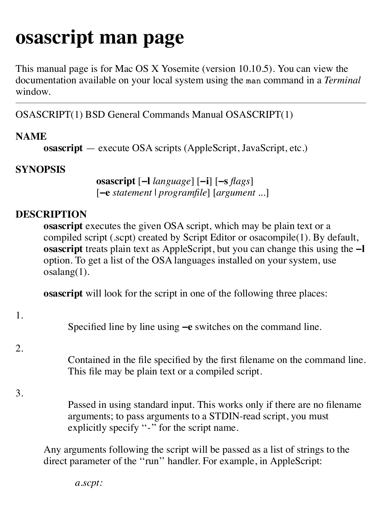# **osascript man page**

This manual page is for Mac OS X Yosemite (version 10.10.5). You can view the documentation available on your local system using the man command in a *Terminal* window.

OSASCRIPT(1) BSD General Commands Manual OSASCRIPT(1)

## **NAME**

**osascript** — execute OSA scripts (AppleScript, JavaScript, etc.)

## **SYNOPSIS**

**osascript** [**−l** *language*] [**−i**] [**−s** *flags*] [**−e** *statement* | *programfile*] [*argument ...*]

## **DESCRIPTION**

**osascript** executes the given OSA script, which may be plain text or a compiled script (.scpt) created by Script Editor or osacompile(1). By default, **osascript** treats plain text as AppleScript, but you can change this using the **−l** option. To get a list of the OSA languages installed on your system, use osalang(1).

**osascript** will look for the script in one of the following three places:

1.

Specified line by line using **−e** switches on the command line.

2.

Contained in the file specified by the first filename on the command line. This file may be plain text or a compiled script.

3.

Passed in using standard input. This works only if there are no filename arguments; to pass arguments to a STDIN-read script, you must explicitly specify "-" for the script name.

Any arguments following the script will be passed as a list of strings to the direct parameter of the ''run'' handler. For example, in AppleScript:

*a.scpt:*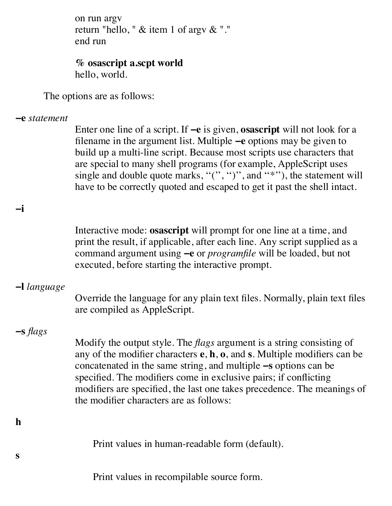*a.scpt:* on run argv return "hello, " & item 1 of argv & "." end run

#### **% osascript a.scpt world** hello, world.

The options are as follows:

### **−e** *statement*

Enter one line of a script. If **−e** is given, **osascript** will not look for a filename in the argument list. Multiple **−e** options may be given to build up a multi-line script. Because most scripts use characters that are special to many shell programs (for example, AppleScript uses single and double quote marks, " $($ ", " $)$ ", and "\*"'), the statement will have to be correctly quoted and escaped to get it past the shell intact.

Interactive mode: **osascript** will prompt for one line at a time, and print the result, if applicable, after each line. Any script supplied as a command argument using **−e** or *programfile* will be loaded, but not executed, before starting the interactive prompt.

## **−l** *language*

**−i**

Override the language for any plain text files. Normally, plain text files are compiled as AppleScript.

# **−s** *flags*

**h**

**s**

Modify the output style. The *flags* argument is a string consisting of any of the modifier characters **e**, **h**, **o**, and **s**. Multiple modifiers can be concatenated in the same string, and multiple **−s** options can be specified. The modifiers come in exclusive pairs; if conflicting modifiers are specified, the last one takes precedence. The meanings of the modifier characters are as follows:

Print values in human-readable form (default).

Print values in recompilable source form.